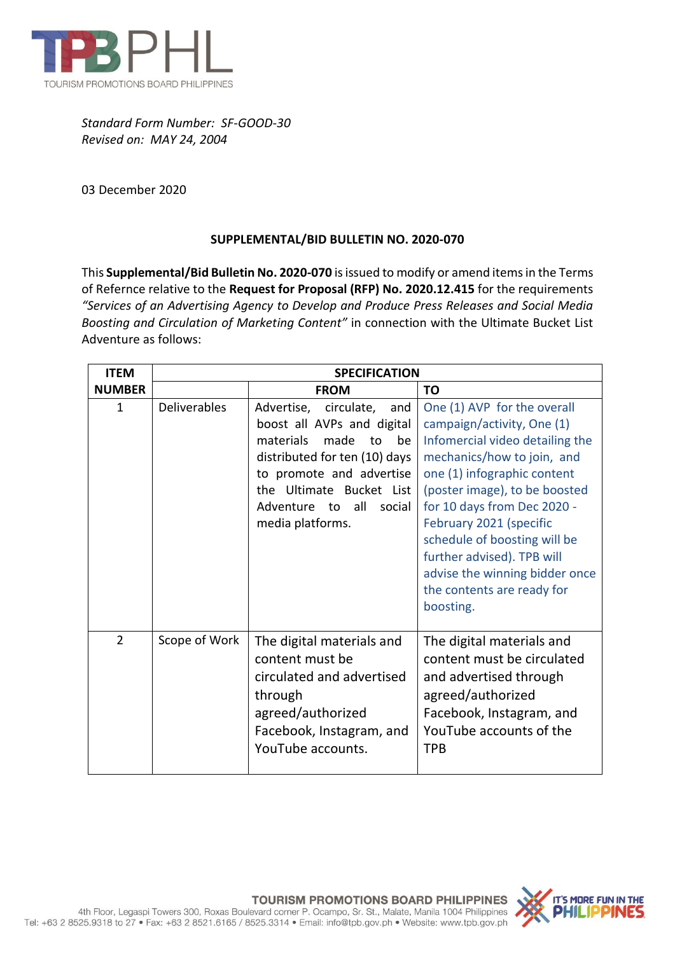

*Standard Form Number: SF-GOOD-30 Revised on: MAY 24, 2004*

03 December 2020

## **SUPPLEMENTAL/BID BULLETIN NO. 2020-070**

This **Supplemental/Bid Bulletin No. 2020-070** is issued to modify or amend items in the Terms of Refernce relative to the **Request for Proposal (RFP) No. 2020.12.415** for the requirements *"Services of an Advertising Agency to Develop and Produce Press Releases and Social Media Boosting and Circulation of Marketing Content"* in connection with the Ultimate Bucket List Adventure as follows:

| <b>ITEM</b>    | <b>SPECIFICATION</b> |                                                                                                                                                                                                                                              |                                                                                                                                                                                                                                                                                                                                                                                                 |
|----------------|----------------------|----------------------------------------------------------------------------------------------------------------------------------------------------------------------------------------------------------------------------------------------|-------------------------------------------------------------------------------------------------------------------------------------------------------------------------------------------------------------------------------------------------------------------------------------------------------------------------------------------------------------------------------------------------|
| <b>NUMBER</b>  |                      | <b>FROM</b>                                                                                                                                                                                                                                  | <b>TO</b>                                                                                                                                                                                                                                                                                                                                                                                       |
| $\mathbf{1}$   | <b>Deliverables</b>  | Advertise, circulate,<br>and<br>boost all AVPs and digital<br>materials<br>made<br>to<br>be<br>distributed for ten (10) days<br>to promote and advertise<br>the Ultimate Bucket List<br>Adventure<br>all<br>to<br>social<br>media platforms. | One (1) AVP for the overall<br>campaign/activity, One (1)<br>Infomercial video detailing the<br>mechanics/how to join, and<br>one (1) infographic content<br>(poster image), to be boosted<br>for 10 days from Dec 2020 -<br>February 2021 (specific<br>schedule of boosting will be<br>further advised). TPB will<br>advise the winning bidder once<br>the contents are ready for<br>boosting. |
| $\overline{2}$ | Scope of Work        | The digital materials and<br>content must be<br>circulated and advertised<br>through<br>agreed/authorized<br>Facebook, Instagram, and<br>YouTube accounts.                                                                                   | The digital materials and<br>content must be circulated<br>and advertised through<br>agreed/authorized<br>Facebook, Instagram, and<br>YouTube accounts of the<br><b>TPB</b>                                                                                                                                                                                                                     |



4th Floor, Legaspi Towers 300, Roxas Boulevard corner P. Ocampo, Sr. St., Malate, Manila 1004 Philippines Tel: +63 2 8525.9318 to 27 · Fax: +63 2 8521.6165 / 8525.3314 · Email: info@tpb.gov.ph · Website: www.tpb.gov.ph

**TOURISM PROMOTIONS BOARD PHILIPPINES**